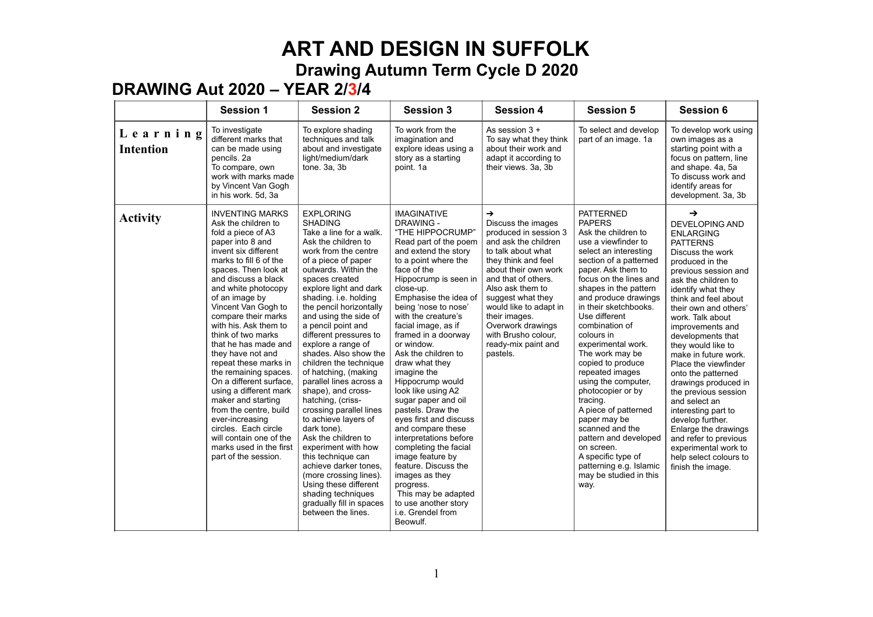### **DRAWING Aut 2020 – YEAR 2/3/4**

|                              | <b>Session 1</b>                                                                                                                                                                                                                                                                                                                                                                                                                                                                                                                                                                                                                                            | <b>Session 2</b>                                                                                                                                                                                                                                                                                                                                                                                                                                                                                                                                                                                                                                                                                                                                                                                      | <b>Session 3</b>                                                                                                                                                                                                                                                                                                                                                                                                                                                                                                                                                                                                                                                                                                                        | <b>Session 4</b>                                                                                                                                                                                                                                                                                                                                    | <b>Session 5</b>                                                                                                                                                                                                                                                                                                                                                                                                                                                                                                                                                                                                                            | <b>Session 6</b>                                                                                                                                                                                                                                                                                                                                                                                                                                                                                                                                                                                                                 |
|------------------------------|-------------------------------------------------------------------------------------------------------------------------------------------------------------------------------------------------------------------------------------------------------------------------------------------------------------------------------------------------------------------------------------------------------------------------------------------------------------------------------------------------------------------------------------------------------------------------------------------------------------------------------------------------------------|-------------------------------------------------------------------------------------------------------------------------------------------------------------------------------------------------------------------------------------------------------------------------------------------------------------------------------------------------------------------------------------------------------------------------------------------------------------------------------------------------------------------------------------------------------------------------------------------------------------------------------------------------------------------------------------------------------------------------------------------------------------------------------------------------------|-----------------------------------------------------------------------------------------------------------------------------------------------------------------------------------------------------------------------------------------------------------------------------------------------------------------------------------------------------------------------------------------------------------------------------------------------------------------------------------------------------------------------------------------------------------------------------------------------------------------------------------------------------------------------------------------------------------------------------------------|-----------------------------------------------------------------------------------------------------------------------------------------------------------------------------------------------------------------------------------------------------------------------------------------------------------------------------------------------------|---------------------------------------------------------------------------------------------------------------------------------------------------------------------------------------------------------------------------------------------------------------------------------------------------------------------------------------------------------------------------------------------------------------------------------------------------------------------------------------------------------------------------------------------------------------------------------------------------------------------------------------------|----------------------------------------------------------------------------------------------------------------------------------------------------------------------------------------------------------------------------------------------------------------------------------------------------------------------------------------------------------------------------------------------------------------------------------------------------------------------------------------------------------------------------------------------------------------------------------------------------------------------------------|
| Learning<br><b>Intention</b> | To investigate<br>different marks that<br>can be made using<br>pencils. 2a<br>To compare, own<br>work with marks made<br>by Vincent Van Gogh<br>in his work. 5d, 3a                                                                                                                                                                                                                                                                                                                                                                                                                                                                                         | To explore shading<br>techniques and talk<br>about and investigate<br>light/medium/dark<br>tone. 3a, 3b                                                                                                                                                                                                                                                                                                                                                                                                                                                                                                                                                                                                                                                                                               | To work from the<br>imagination and<br>explore ideas using a<br>story as a starting<br>point. 1a                                                                                                                                                                                                                                                                                                                                                                                                                                                                                                                                                                                                                                        | As session $3 +$<br>To say what they think<br>about their work and<br>adapt it according to<br>their views. 3a, 3b                                                                                                                                                                                                                                  | To select and develop<br>part of an image. 1a                                                                                                                                                                                                                                                                                                                                                                                                                                                                                                                                                                                               | To develop work using<br>own images as a<br>starting point with a<br>focus on pattern, line<br>and shape. 4a, 5a<br>To discuss work and<br>identify areas for<br>development. 3a, 3b                                                                                                                                                                                                                                                                                                                                                                                                                                             |
| <b>Activity</b>              | <b>INVENTING MARKS</b><br>Ask the children to<br>fold a piece of A3<br>paper into 8 and<br>invent six different<br>marks to fill 6 of the<br>spaces. Then look at<br>and discuss a black<br>and white photocopy<br>of an image by<br>Vincent Van Gogh to<br>compare their marks<br>with his. Ask them to<br>think of two marks<br>that he has made and<br>they have not and<br>repeat these marks in<br>the remaining spaces.<br>On a different surface,<br>using a different mark<br>maker and starting<br>from the centre, build<br>ever-increasing<br>circles. Each circle<br>will contain one of the<br>marks used in the first<br>part of the session. | <b>EXPLORING</b><br><b>SHADING</b><br>Take a line for a walk.<br>Ask the children to<br>work from the centre<br>of a piece of paper<br>outwards. Within the<br>spaces created<br>explore light and dark<br>shading. i.e. holding<br>the pencil horizontally<br>and using the side of<br>a pencil point and<br>different pressures to<br>explore a range of<br>shades. Also show the<br>children the technique<br>of hatching, (making<br>parallel lines across a<br>shape), and cross-<br>hatching, (criss-<br>crossing parallel lines<br>to achieve layers of<br>dark tone).<br>Ask the children to<br>experiment with how<br>this technique can<br>achieve darker tones.<br>(more crossing lines).<br>Using these different<br>shading techniques<br>gradually fill in spaces<br>between the lines. | <b>IMAGINATIVE</b><br><b>DRAWING -</b><br>"THE HIPPOCRUMP"<br>Read part of the poem<br>and extend the story<br>to a point where the<br>face of the<br>Hippocrump is seen in<br>close-up.<br>Emphasise the idea of<br>being 'nose to nose'<br>with the creature's<br>facial image, as if<br>framed in a doorway<br>or window.<br>Ask the children to<br>draw what they<br>imagine the<br>Hippocrump would<br>look like using A2<br>sugar paper and oil<br>pastels. Draw the<br>eyes first and discuss<br>and compare these<br>interpretations before<br>completing the facial<br>image feature by<br>feature. Discuss the<br>images as they<br>progress.<br>This may be adapted<br>to use another story<br>i.e. Grendel from<br>Beowulf. | $\rightarrow$<br>Discuss the images<br>produced in session 3<br>and ask the children<br>to talk about what<br>they think and feel<br>about their own work<br>and that of others.<br>Also ask them to<br>suggest what they<br>would like to adapt in<br>their images.<br>Overwork drawings<br>with Brusho colour,<br>ready-mix paint and<br>pastels. | <b>PATTERNED</b><br><b>PAPERS</b><br>Ask the children to<br>use a viewfinder to<br>select an interesting<br>section of a patterned<br>paper. Ask them to<br>focus on the lines and<br>shapes in the pattern<br>and produce drawings<br>in their sketchbooks.<br>Use different<br>combination of<br>colours in<br>experimental work.<br>The work may be<br>copied to produce<br>repeated images<br>using the computer,<br>photocopier or by<br>tracing.<br>A piece of patterned<br>paper may be<br>scanned and the<br>pattern and developed<br>on screen.<br>A specific type of<br>patterning e.g. Islamic<br>may be studied in this<br>way. | $\rightarrow$<br>DEVELOPING AND<br><b>ENLARGING</b><br><b>PATTERNS</b><br>Discuss the work<br>produced in the<br>previous session and<br>ask the children to<br>identify what they<br>think and feel about<br>their own and others'<br>work. Talk about<br>improvements and<br>developments that<br>they would like to<br>make in future work.<br>Place the viewfinder<br>onto the patterned<br>drawings produced in<br>the previous session<br>and select an<br>interesting part to<br>develop further.<br>Enlarge the drawings<br>and refer to previous<br>experimental work to<br>help select colours to<br>finish the image. |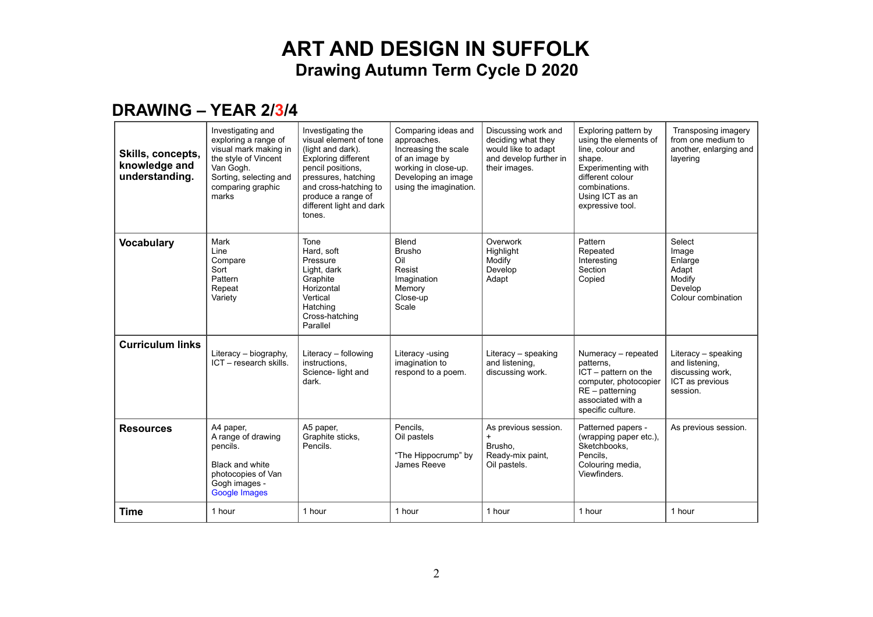#### **DRAWING – YEAR 2/3/4**

| Skills, concepts,<br>knowledge and<br>understanding. | Investigating and<br>exploring a range of<br>visual mark making in<br>the style of Vincent<br>Van Gogh.<br>Sorting, selecting and<br>comparing graphic<br>marks | Investigating the<br>visual element of tone<br>(light and dark).<br><b>Exploring different</b><br>pencil positions,<br>pressures, hatching<br>and cross-hatching to<br>produce a range of<br>different light and dark<br>tones. | Comparing ideas and<br>approaches.<br>Increasing the scale<br>of an image by<br>working in close-up.<br>Developing an image<br>using the imagination. | Discussing work and<br>deciding what they<br>would like to adapt<br>and develop further in<br>their images. | Exploring pattern by<br>using the elements of<br>line, colour and<br>shape.<br>Experimenting with<br>different colour<br>combinations.<br>Using ICT as an<br>expressive tool. | Transposing imagery<br>from one medium to<br>another, enlarging and<br>layering          |
|------------------------------------------------------|-----------------------------------------------------------------------------------------------------------------------------------------------------------------|---------------------------------------------------------------------------------------------------------------------------------------------------------------------------------------------------------------------------------|-------------------------------------------------------------------------------------------------------------------------------------------------------|-------------------------------------------------------------------------------------------------------------|-------------------------------------------------------------------------------------------------------------------------------------------------------------------------------|------------------------------------------------------------------------------------------|
| <b>Vocabulary</b>                                    | Mark<br>Line<br>Compare<br>Sort<br>Pattern<br>Repeat<br>Variety                                                                                                 | Tone<br>Hard, soft<br>Pressure<br>Light, dark<br>Graphite<br>Horizontal<br>Vertical<br>Hatching<br>Cross-hatching<br>Parallel                                                                                                   | Blend<br><b>Brusho</b><br>Oil<br>Resist<br>Imagination<br>Memory<br>Close-up<br>Scale                                                                 | Overwork<br>Highlight<br>Modify<br>Develop<br>Adapt                                                         | Pattern<br>Repeated<br>Interesting<br>Section<br>Copied                                                                                                                       | Select<br>Image<br>Enlarge<br>Adapt<br>Modify<br>Develop<br>Colour combination           |
| <b>Curriculum links</b>                              | Literacy - biography,<br>ICT - research skills.                                                                                                                 | Literacy - following<br>instructions.<br>Science- light and<br>dark.                                                                                                                                                            | Literacy -using<br>imagination to<br>respond to a poem.                                                                                               | Literacy - speaking<br>and listening,<br>discussing work.                                                   | Numeracy - repeated<br>patterns.<br>$ICT - pattern on the$<br>computer, photocopier<br>$RE$ – patterning<br>associated with a<br>specific culture.                            | Literacy - speaking<br>and listening,<br>discussing work,<br>ICT as previous<br>session. |
| <b>Resources</b>                                     | A4 paper,<br>A range of drawing<br>pencils.<br><b>Black and white</b><br>photocopies of Van<br>Gogh images -<br>Google Images                                   | A5 paper,<br>Graphite sticks,<br>Pencils.                                                                                                                                                                                       | Pencils.<br>Oil pastels<br>"The Hippocrump" by<br>James Reeve                                                                                         | As previous session.<br>$\ddot{}$<br>Brusho,<br>Ready-mix paint,<br>Oil pastels.                            | Patterned papers -<br>(wrapping paper etc.),<br>Sketchbooks.<br>Pencils.<br>Colouring media,<br>Viewfinders.                                                                  | As previous session.                                                                     |
| Time                                                 | 1 hour                                                                                                                                                          | 1 hour                                                                                                                                                                                                                          | 1 hour                                                                                                                                                | 1 hour                                                                                                      | 1 hour                                                                                                                                                                        | 1 hour                                                                                   |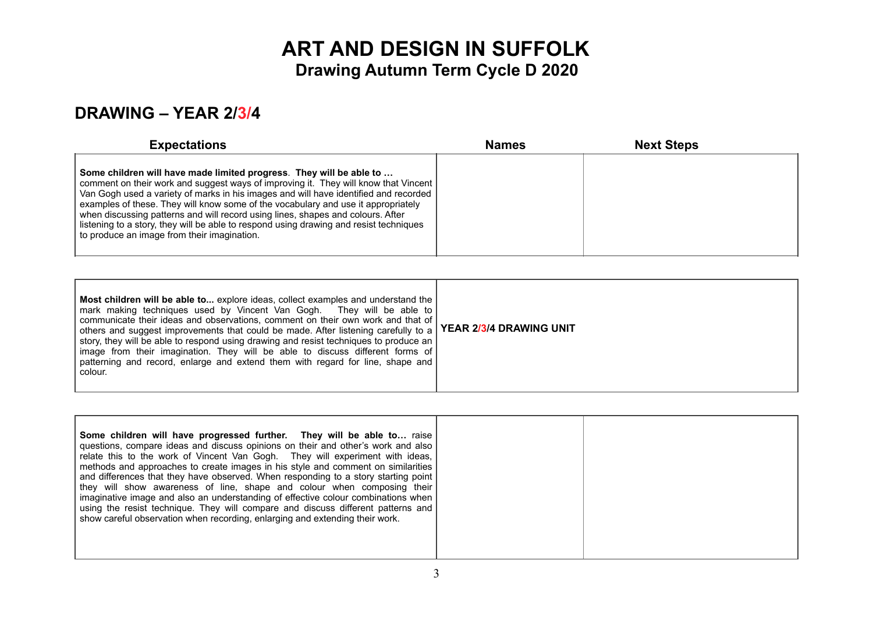#### **DRAWING – YEAR 2/3/4**

| <b>Expectations</b>                                                                                                                                                                                                                                                                                                                                                                                                                                                                                                                                                 | <b>Names</b> | <b>Next Steps</b> |  |
|---------------------------------------------------------------------------------------------------------------------------------------------------------------------------------------------------------------------------------------------------------------------------------------------------------------------------------------------------------------------------------------------------------------------------------------------------------------------------------------------------------------------------------------------------------------------|--------------|-------------------|--|
| Some children will have made limited progress. They will be able to<br>comment on their work and suggest ways of improving it. They will know that Vincent<br>Van Gogh used a variety of marks in his images and will have identified and recorded<br>examples of these. They will know some of the vocabulary and use it appropriately<br>when discussing patterns and will record using lines, shapes and colours. After<br>listening to a story, they will be able to respond using drawing and resist techniques<br>to produce an image from their imagination. |              |                   |  |

| Most children will be able to explore ideas, collect examples and understand the<br>  mark making techniques used by Vincent Van Gogh. They will be able to  <br>  communicate their ideas and observations, comment on their own work and that of  <br>others and suggest improvements that could be made. After listening carefully to a   YEAR 2/3/4 DRAWING UNIT<br>story, they will be able to respond using drawing and resist techniques to produce an<br>image from their imagination. They will be able to discuss different forms of<br>  patterning and record, enlarge and extend them with regard for line, shape and<br>colour. |  |
|-----------------------------------------------------------------------------------------------------------------------------------------------------------------------------------------------------------------------------------------------------------------------------------------------------------------------------------------------------------------------------------------------------------------------------------------------------------------------------------------------------------------------------------------------------------------------------------------------------------------------------------------------|--|
|-----------------------------------------------------------------------------------------------------------------------------------------------------------------------------------------------------------------------------------------------------------------------------------------------------------------------------------------------------------------------------------------------------------------------------------------------------------------------------------------------------------------------------------------------------------------------------------------------------------------------------------------------|--|